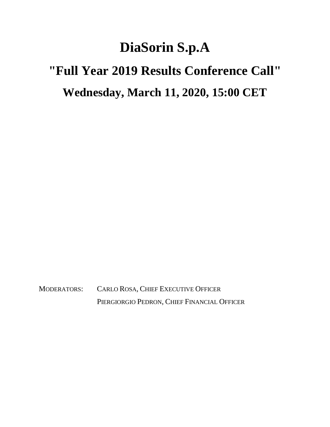## **DiaSorin S.p.A**

## **"Full Year 2019 Results Conference Call" Wednesday, March 11, 2020, 15:00 CET**

MODERATORS: CARLO ROSA, CHIEF EXECUTIVE OFFICER PIERGIORGIO PEDRON, CHIEF FINANCIAL OFFICER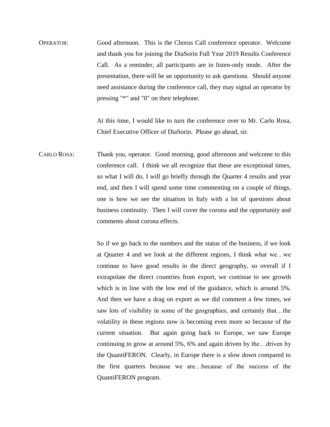OPERATOR: Good afternoon. This is the Chorus Call conference operator. Welcome and thank you for joining the DiaSorin Full Year 2019 Results Conference Call. As a reminder, all participants are in listen-only mode. After the presentation, there will be an opportunity to ask questions. Should anyone need assistance during the conference call, they may signal an operator by pressing "\*" and "0" on their telephone.

> At this time, I would like to turn the conference over to Mr. Carlo Rosa, Chief Executive Officer of DiaSorin. Please go ahead, sir.

CARLO ROSA: Thank you, operator. Good morning, good afternoon and welcome to this conference call. I think we all recognize that these are exceptional times, so what I will do, I will go briefly through the Quarter 4 results and year end, and then I will spend some time commenting on a couple of things, one is how we see the situation in Italy with a lot of questions about business continuity. Then I will cover the corona and the opportunity and comments about corona effects.

> So if we go back to the numbers and the status of the business, if we look at Quarter 4 and we look at the different regions, I think what we…we continue to have good results in the direct geography, so overall if I extrapolate the direct countries from export, we continue to see growth which is in line with the low end of the guidance, which is around 5%. And then we have a drag on export as we did comment a few times, we saw lots of visibility in some of the geographies, and certainly that…the volatility in these regions now is becoming even more so because of the current situation. But again going back to Europe, we saw Europe continuing to grow at around 5%, 6% and again driven by the…driven by the QuantiFERON. Clearly, in Europe there is a slow down compared to the first quarters because we are…because of the success of the QuantiFERON program.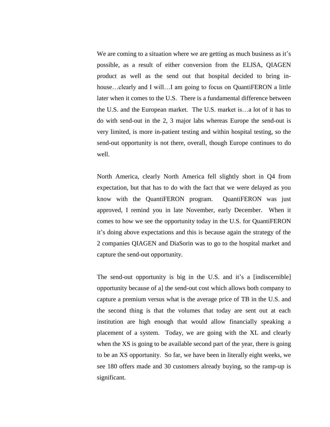We are coming to a situation where we are getting as much business as it's possible, as a result of either conversion from the ELISA, QIAGEN product as well as the send out that hospital decided to bring inhouse...clearly and I will...I am going to focus on QuantiFERON a little later when it comes to the U.S. There is a fundamental difference between the U.S. and the European market. The U.S. market is…a lot of it has to do with send-out in the 2, 3 major labs whereas Europe the send-out is very limited, is more in-patient testing and within hospital testing, so the send-out opportunity is not there, overall, though Europe continues to do well.

North America, clearly North America fell slightly short in Q4 from expectation, but that has to do with the fact that we were delayed as you know with the QuantiFERON program. QuantiFERON was just approved, I remind you in late November, early December. When it comes to how we see the opportunity today in the U.S. for QuantiFERON it's doing above expectations and this is because again the strategy of the 2 companies QIAGEN and DiaSorin was to go to the hospital market and capture the send-out opportunity.

The send-out opportunity is big in the U.S. and it's a [indiscernible] opportunity because of a] the send-out cost which allows both company to capture a premium versus what is the average price of TB in the U.S. and the second thing is that the volumes that today are sent out at each institution are high enough that would allow financially speaking a placement of a system. Today, we are going with the XL and clearly when the XS is going to be available second part of the year, there is going to be an XS opportunity. So far, we have been in literally eight weeks, we see 180 offers made and 30 customers already buying, so the ramp-up is significant.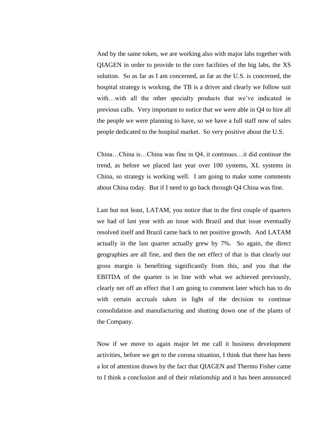And by the same token, we are working also with major labs together with QIAGEN in order to provide to the core facilities of the big labs, the XS solution. So as far as I am concerned, as far as the U.S. is concerned, the hospital strategy is working, the TB is a driver and clearly we follow suit with...with all the other specialty products that we've indicated in previous calls. Very important to notice that we were able in Q4 to hire all the people we were planning to have, so we have a full staff now of sales people dedicated to the hospital market. So very positive about the U.S.

China…China is…China was fine in Q4, it continues…it did continue the trend, as before we placed last year over 100 systems, XL systems in China, so strategy is working well. I am going to make some comments about China today. But if I need to go back through Q4 China was fine.

Last but not least, LATAM, you notice that in the first couple of quarters we had of last year with an issue with Brazil and that issue eventually resolved itself and Brazil came back to net positive growth. And LATAM actually in the last quarter actually grew by 7%. So again, the direct geographies are all fine, and then the net effect of that is that clearly our gross margin is benefiting significantly from this, and you that the EBITDA of the quarter is in line with what we achieved previously, clearly net off an effect that I am going to comment later which has to do with certain accruals taken in light of the decision to continue consolidation and manufacturing and shutting down one of the plants of the Company.

Now if we move to again major let me call it business development activities, before we get to the corona situation, I think that there has been a lot of attention drawn by the fact that QIAGEN and Thermo Fisher came to I think a conclusion and of their relationship and it has been announced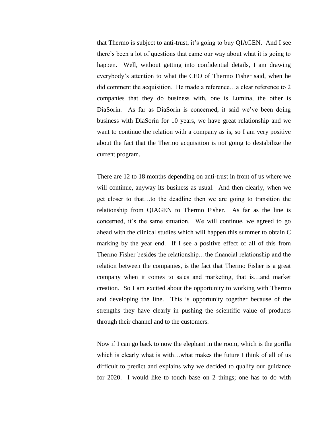that Thermo is subject to anti-trust, it's going to buy QIAGEN. And I see there's been a lot of questions that came our way about what it is going to happen. Well, without getting into confidential details, I am drawing everybody's attention to what the CEO of Thermo Fisher said, when he did comment the acquisition. He made a reference…a clear reference to 2 companies that they do business with, one is Lumina, the other is DiaSorin. As far as DiaSorin is concerned, it said we've been doing business with DiaSorin for 10 years, we have great relationship and we want to continue the relation with a company as is, so I am very positive about the fact that the Thermo acquisition is not going to destabilize the current program.

There are 12 to 18 months depending on anti-trust in front of us where we will continue, anyway its business as usual. And then clearly, when we get closer to that…to the deadline then we are going to transition the relationship from QIAGEN to Thermo Fisher. As far as the line is concerned, it's the same situation. We will continue, we agreed to go ahead with the clinical studies which will happen this summer to obtain C marking by the year end. If I see a positive effect of all of this from Thermo Fisher besides the relationship…the financial relationship and the relation between the companies, is the fact that Thermo Fisher is a great company when it comes to sales and marketing, that is…and market creation. So I am excited about the opportunity to working with Thermo and developing the line. This is opportunity together because of the strengths they have clearly in pushing the scientific value of products through their channel and to the customers.

Now if I can go back to now the elephant in the room, which is the gorilla which is clearly what is with…what makes the future I think of all of us difficult to predict and explains why we decided to qualify our guidance for 2020. I would like to touch base on 2 things; one has to do with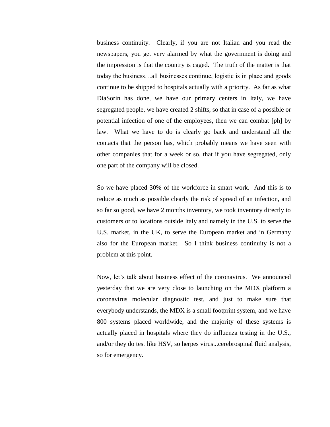business continuity. Clearly, if you are not Italian and you read the newspapers, you get very alarmed by what the government is doing and the impression is that the country is caged. The truth of the matter is that today the business…all businesses continue, logistic is in place and goods continue to be shipped to hospitals actually with a priority. As far as what DiaSorin has done, we have our primary centers in Italy, we have segregated people, we have created 2 shifts, so that in case of a possible or potential infection of one of the employees, then we can combat [ph] by law. What we have to do is clearly go back and understand all the contacts that the person has, which probably means we have seen with other companies that for a week or so, that if you have segregated, only one part of the company will be closed.

So we have placed 30% of the workforce in smart work. And this is to reduce as much as possible clearly the risk of spread of an infection, and so far so good, we have 2 months inventory, we took inventory directly to customers or to locations outside Italy and namely in the U.S. to serve the U.S. market, in the UK, to serve the European market and in Germany also for the European market. So I think business continuity is not a problem at this point.

Now, let's talk about business effect of the coronavirus. We announced yesterday that we are very close to launching on the MDX platform a coronavirus molecular diagnostic test, and just to make sure that everybody understands, the MDX is a small footprint system, and we have 800 systems placed worldwide, and the majority of these systems is actually placed in hospitals where they do influenza testing in the U.S., and/or they do test like HSV, so herpes virus...cerebrospinal fluid analysis, so for emergency.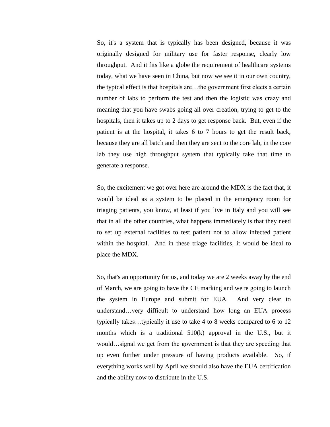So, it's a system that is typically has been designed, because it was originally designed for military use for faster response, clearly low throughput. And it fits like a globe the requirement of healthcare systems today, what we have seen in China, but now we see it in our own country, the typical effect is that hospitals are…the government first elects a certain number of labs to perform the test and then the logistic was crazy and meaning that you have swabs going all over creation, trying to get to the hospitals, then it takes up to 2 days to get response back. But, even if the patient is at the hospital, it takes 6 to 7 hours to get the result back, because they are all batch and then they are sent to the core lab, in the core lab they use high throughput system that typically take that time to generate a response.

So, the excitement we got over here are around the MDX is the fact that, it would be ideal as a system to be placed in the emergency room for triaging patients, you know, at least if you live in Italy and you will see that in all the other countries, what happens immediately is that they need to set up external facilities to test patient not to allow infected patient within the hospital. And in these triage facilities, it would be ideal to place the MDX.

So, that's an opportunity for us, and today we are 2 weeks away by the end of March, we are going to have the CE marking and we're going to launch the system in Europe and submit for EUA. And very clear to understand…very difficult to understand how long an EUA process typically takes…typically it use to take 4 to 8 weeks compared to 6 to 12 months which is a traditional 510(k) approval in the U.S., but it would…signal we get from the government is that they are speeding that up even further under pressure of having products available. So, if everything works well by April we should also have the EUA certification and the ability now to distribute in the U.S.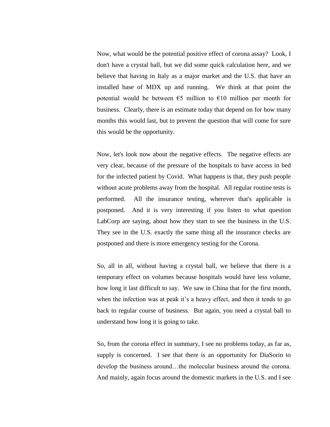Now, what would be the potential positive effect of corona assay? Look, I don't have a crystal ball, but we did some quick calculation here, and we believe that having in Italy as a major market and the U.S. that have an installed base of MDX up and running. We think at that point the potential would be between  $\epsilon$ 5 million to  $\epsilon$ 10 million per month for business. Clearly, there is an estimate today that depend on for how many months this would last, but to prevent the question that will come for sure this would be the opportunity.

Now, let's look now about the negative effects. The negative effects are very clear, because of the pressure of the hospitals to have access in bed for the infected patient by Covid. What happens is that, they push people without acute problems away from the hospital. All regular routine tests is performed. All the insurance testing, wherever that's applicable is postponed. And it is very interesting if you listen to what question LabCorp are saying, about how they start to see the business in the U.S. They see in the U.S. exactly the same thing all the insurance checks are postponed and there is more emergency testing for the Corona.

So, all in all, without having a crystal ball, we believe that there is a temporary effect on volumes because hospitals would have less volume, how long it last difficult to say. We saw in China that for the first month, when the infection was at peak it's a heavy effect, and then it tends to go back to regular course of business. But again, you need a crystal ball to understand how long it is going to take.

So, from the corona effect in summary, I see no problems today, as far as, supply is concerned. I see that there is an opportunity for DiaSorin to develop the business around…the molecular business around the corona. And mainly, again focus around the domestic markets in the U.S. and I see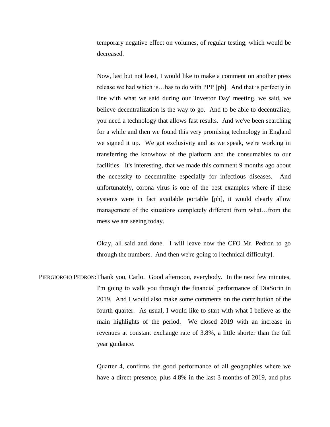temporary negative effect on volumes, of regular testing, which would be decreased.

Now, last but not least, I would like to make a comment on another press release we had which is…has to do with PPP [ph]. And that is perfectly in line with what we said during our 'Investor Day' meeting, we said, we believe decentralization is the way to go. And to be able to decentralize, you need a technology that allows fast results. And we've been searching for a while and then we found this very promising technology in England we signed it up. We got exclusivity and as we speak, we're working in transferring the knowhow of the platform and the consumables to our facilities. It's interesting, that we made this comment 9 months ago about the necessity to decentralize especially for infectious diseases. And unfortunately, corona virus is one of the best examples where if these systems were in fact available portable [ph], it would clearly allow management of the situations completely different from what…from the mess we are seeing today.

Okay, all said and done. I will leave now the CFO Mr. Pedron to go through the numbers. And then we're going to [technical difficulty].

PIERGIORGIO PEDRON:Thank you, Carlo. Good afternoon, everybody. In the next few minutes, I'm going to walk you through the financial performance of DiaSorin in 2019. And I would also make some comments on the contribution of the fourth quarter. As usual, I would like to start with what I believe as the main highlights of the period. We closed 2019 with an increase in revenues at constant exchange rate of 3.8%, a little shorter than the full year guidance.

> Quarter 4, confirms the good performance of all geographies where we have a direct presence, plus 4.8% in the last 3 months of 2019, and plus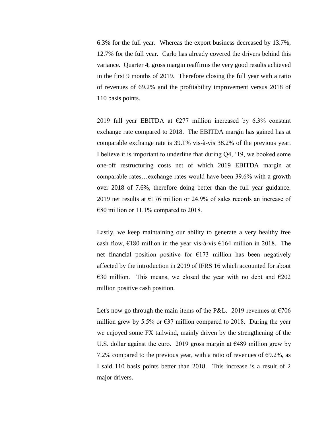6.3% for the full year. Whereas the export business decreased by 13.7%, 12.7% for the full year. Carlo has already covered the drivers behind this variance. Quarter 4, gross margin reaffirms the very good results achieved in the first 9 months of 2019. Therefore closing the full year with a ratio of revenues of 69.2% and the profitability improvement versus 2018 of 110 basis points.

2019 full year EBITDA at  $E277$  million increased by 6.3% constant exchange rate compared to 2018. The EBITDA margin has gained has at comparable exchange rate is 39.1% vis-à-vis 38.2% of the previous year. I believe it is important to underline that during Q4, '19, we booked some one-off restructuring costs net of which 2019 EBITDA margin at comparable rates…exchange rates would have been 39.6% with a growth over 2018 of 7.6%, therefore doing better than the full year guidance. 2019 net results at  $E176$  million or 24.9% of sales records an increase of €80 million or 11.1% compared to 2018.

Lastly, we keep maintaining our ability to generate a very healthy free cash flow,  $\epsilon$ 180 million in the year vis-à-vis  $\epsilon$ 164 million in 2018. The net financial position positive for  $E173$  million has been negatively affected by the introduction in 2019 of IFRS 16 which accounted for about €30 million. This means, we closed the year with no debt and €202 million positive cash position.

Let's now go through the main items of the P&L. 2019 revenues at  $\epsilon$ 706 million grew by 5.5% or  $\epsilon$ 37 million compared to 2018. During the year we enjoyed some FX tailwind, mainly driven by the strengthening of the U.S. dollar against the euro. 2019 gross margin at  $\epsilon$ 489 million grew by 7.2% compared to the previous year, with a ratio of revenues of 69.2%, as I said 110 basis points better than 2018. This increase is a result of 2 major drivers.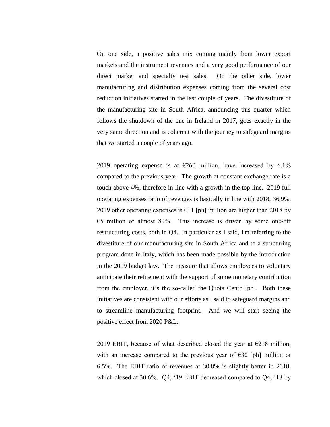On one side, a positive sales mix coming mainly from lower export markets and the instrument revenues and a very good performance of our direct market and specialty test sales. On the other side, lower manufacturing and distribution expenses coming from the several cost reduction initiatives started in the last couple of years. The divestiture of the manufacturing site in South Africa, announcing this quarter which follows the shutdown of the one in Ireland in 2017, goes exactly in the very same direction and is coherent with the journey to safeguard margins that we started a couple of years ago.

2019 operating expense is at  $\epsilon$ 260 million, have increased by 6.1% compared to the previous year. The growth at constant exchange rate is a touch above 4%, therefore in line with a growth in the top line. 2019 full operating expenses ratio of revenues is basically in line with 2018, 36.9%. 2019 other operating expenses is  $E11$  [ph] million are higher than 2018 by  $65$  million or almost 80%. This increase is driven by some one-off restructuring costs, both in Q4. In particular as I said, I'm referring to the divestiture of our manufacturing site in South Africa and to a structuring program done in Italy, which has been made possible by the introduction in the 2019 budget law. The measure that allows employees to voluntary anticipate their retirement with the support of some monetary contribution from the employer, it's the so-called the Quota Cento [ph]. Both these initiatives are consistent with our efforts as I said to safeguard margins and to streamline manufacturing footprint. And we will start seeing the positive effect from 2020 P&L.

2019 EBIT, because of what described closed the year at  $\epsilon$ 218 million, with an increase compared to the previous year of  $\epsilon$ 30 [ph] million or 6.5%. The EBIT ratio of revenues at 30.8% is slightly better in 2018, which closed at 30.6%. Q4, '19 EBIT decreased compared to Q4, '18 by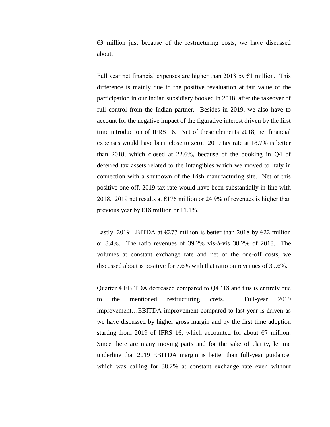$E3$  million just because of the restructuring costs, we have discussed about.

Full year net financial expenses are higher than 2018 by  $\epsilon$ 1 million. This difference is mainly due to the positive revaluation at fair value of the participation in our Indian subsidiary booked in 2018, after the takeover of full control from the Indian partner. Besides in 2019, we also have to account for the negative impact of the figurative interest driven by the first time introduction of IFRS 16. Net of these elements 2018, net financial expenses would have been close to zero. 2019 tax rate at 18.7% is better than 2018, which closed at 22.6%, because of the booking in Q4 of deferred tax assets related to the intangibles which we moved to Italy in connection with a shutdown of the Irish manufacturing site. Net of this positive one-off, 2019 tax rate would have been substantially in line with 2018. 2019 net results at  $\epsilon$ 176 million or 24.9% of revenues is higher than previous year by €18 million or 11.1%.

Lastly, 2019 EBITDA at  $\epsilon$ 277 million is better than 2018 by  $\epsilon$ 22 million or 8.4%. The ratio revenues of 39.2% vis-à-vis 38.2% of 2018. The volumes at constant exchange rate and net of the one-off costs, we discussed about is positive for 7.6% with that ratio on revenues of 39.6%.

Quarter 4 EBITDA decreased compared to Q4 '18 and this is entirely due to the mentioned restructuring costs. Full-year 2019 improvement…EBITDA improvement compared to last year is driven as we have discussed by higher gross margin and by the first time adoption starting from 2019 of IFRS 16, which accounted for about  $\epsilon$ 7 million. Since there are many moving parts and for the sake of clarity, let me underline that 2019 EBITDA margin is better than full-year guidance, which was calling for 38.2% at constant exchange rate even without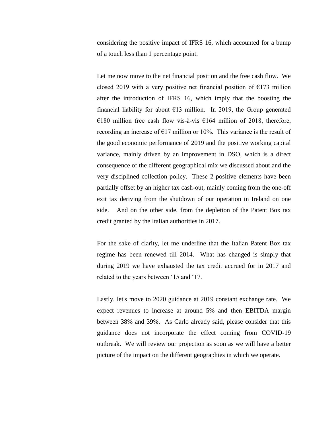considering the positive impact of IFRS 16, which accounted for a bump of a touch less than 1 percentage point.

Let me now move to the net financial position and the free cash flow. We closed 2019 with a very positive net financial position of  $E173$  million after the introduction of IFRS 16, which imply that the boosting the financial liability for about  $E13$  million. In 2019, the Group generated €180 million free cash flow vis-à-vis €164 million of 2018, therefore, recording an increase of  $E17$  million or 10%. This variance is the result of the good economic performance of 2019 and the positive working capital variance, mainly driven by an improvement in DSO, which is a direct consequence of the different geographical mix we discussed about and the very disciplined collection policy. These 2 positive elements have been partially offset by an higher tax cash-out, mainly coming from the one-off exit tax deriving from the shutdown of our operation in Ireland on one side. And on the other side, from the depletion of the Patent Box tax credit granted by the Italian authorities in 2017.

For the sake of clarity, let me underline that the Italian Patent Box tax regime has been renewed till 2014. What has changed is simply that during 2019 we have exhausted the tax credit accrued for in 2017 and related to the years between '15 and '17.

Lastly, let's move to 2020 guidance at 2019 constant exchange rate. We expect revenues to increase at around 5% and then EBITDA margin between 38% and 39%. As Carlo already said, please consider that this guidance does not incorporate the effect coming from COVID-19 outbreak. We will review our projection as soon as we will have a better picture of the impact on the different geographies in which we operate.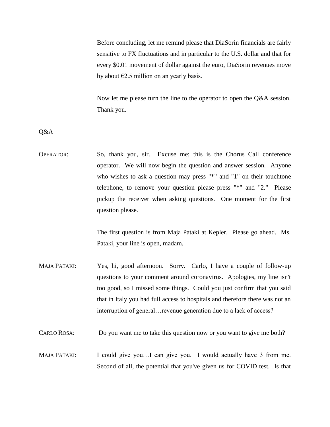Before concluding, let me remind please that DiaSorin financials are fairly sensitive to FX fluctuations and in particular to the U.S. dollar and that for every \$0.01 movement of dollar against the euro, DiaSorin revenues move by about  $\epsilon$ 2.5 million on an yearly basis.

Now let me please turn the line to the operator to open the Q&A session. Thank you.

Q&A

OPERATOR: So, thank you, sir. Excuse me; this is the Chorus Call conference operator. We will now begin the question and answer session. Anyone who wishes to ask a question may press "\*" and "1" on their touchtone telephone, to remove your question please press "\*" and "2." Please pickup the receiver when asking questions. One moment for the first question please.

> The first question is from Maja Pataki at Kepler. Please go ahead. Ms. Pataki, your line is open, madam.

MAJA PATAKI: Yes, hi, good afternoon. Sorry. Carlo, I have a couple of follow-up questions to your comment around coronavirus. Apologies, my line isn't too good, so I missed some things. Could you just confirm that you said that in Italy you had full access to hospitals and therefore there was not an interruption of general…revenue generation due to a lack of access?

CARLO ROSA: Do you want me to take this question now or you want to give me both?

MAJA PATAKI: I could give you...I can give you. I would actually have 3 from me. Second of all, the potential that you've given us for COVID test. Is that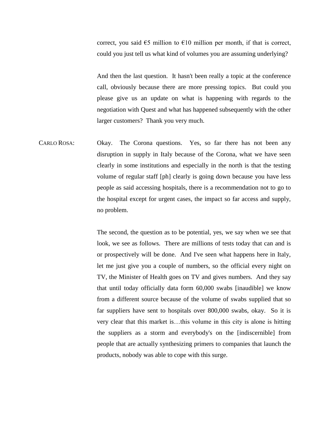correct, you said  $\epsilon$ 5 million to  $\epsilon$ 10 million per month, if that is correct, could you just tell us what kind of volumes you are assuming underlying?

And then the last question. It hasn't been really a topic at the conference call, obviously because there are more pressing topics. But could you please give us an update on what is happening with regards to the negotiation with Quest and what has happened subsequently with the other larger customers? Thank you very much.

CARLO ROSA: Okay. The Corona questions. Yes, so far there has not been any disruption in supply in Italy because of the Corona, what we have seen clearly in some institutions and especially in the north is that the testing volume of regular staff [ph] clearly is going down because you have less people as said accessing hospitals, there is a recommendation not to go to the hospital except for urgent cases, the impact so far access and supply, no problem.

> The second, the question as to be potential, yes, we say when we see that look, we see as follows. There are millions of tests today that can and is or prospectively will be done. And I've seen what happens here in Italy, let me just give you a couple of numbers, so the official every night on TV, the Minister of Health goes on TV and gives numbers. And they say that until today officially data form 60,000 swabs [inaudible] we know from a different source because of the volume of swabs supplied that so far suppliers have sent to hospitals over 800,000 swabs, okay. So it is very clear that this market is…this volume in this city is alone is hitting the suppliers as a storm and everybody's on the [indiscernible] from people that are actually synthesizing primers to companies that launch the products, nobody was able to cope with this surge.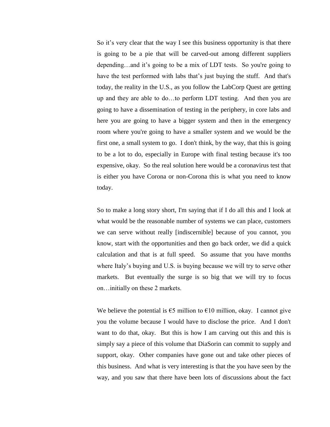So it's very clear that the way I see this business opportunity is that there is going to be a pie that will be carved-out among different suppliers depending…and it's going to be a mix of LDT tests. So you're going to have the test performed with labs that's just buying the stuff. And that's today, the reality in the U.S., as you follow the LabCorp Quest are getting up and they are able to do…to perform LDT testing. And then you are going to have a dissemination of testing in the periphery, in core labs and here you are going to have a bigger system and then in the emergency room where you're going to have a smaller system and we would be the first one, a small system to go. I don't think, by the way, that this is going to be a lot to do, especially in Europe with final testing because it's too expensive, okay. So the real solution here would be a coronavirus test that is either you have Corona or non-Corona this is what you need to know today.

So to make a long story short, I'm saying that if I do all this and I look at what would be the reasonable number of systems we can place, customers we can serve without really [indiscernible] because of you cannot, you know, start with the opportunities and then go back order, we did a quick calculation and that is at full speed. So assume that you have months where Italy's buying and U.S. is buying because we will try to serve other markets. But eventually the surge is so big that we will try to focus on…initially on these 2 markets.

We believe the potential is  $\epsilon$ 5 million to  $\epsilon$ 10 million, okay. I cannot give you the volume because I would have to disclose the price. And I don't want to do that, okay. But this is how I am carving out this and this is simply say a piece of this volume that DiaSorin can commit to supply and support, okay. Other companies have gone out and take other pieces of this business. And what is very interesting is that the you have seen by the way, and you saw that there have been lots of discussions about the fact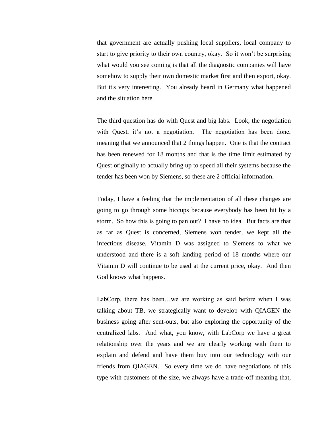that government are actually pushing local suppliers, local company to start to give priority to their own country, okay. So it won't be surprising what would you see coming is that all the diagnostic companies will have somehow to supply their own domestic market first and then export, okay. But it's very interesting. You already heard in Germany what happened and the situation here.

The third question has do with Quest and big labs. Look, the negotiation with Quest, it's not a negotiation. The negotiation has been done, meaning that we announced that 2 things happen. One is that the contract has been renewed for 18 months and that is the time limit estimated by Quest originally to actually bring up to speed all their systems because the tender has been won by Siemens, so these are 2 official information.

Today, I have a feeling that the implementation of all these changes are going to go through some hiccups because everybody has been hit by a storm. So how this is going to pan out? I have no idea. But facts are that as far as Quest is concerned, Siemens won tender, we kept all the infectious disease, Vitamin D was assigned to Siemens to what we understood and there is a soft landing period of 18 months where our Vitamin D will continue to be used at the current price, okay. And then God knows what happens.

LabCorp, there has been…we are working as said before when I was talking about TB, we strategically want to develop with QIAGEN the business going after sent-outs, but also exploring the opportunity of the centralized labs. And what, you know, with LabCorp we have a great relationship over the years and we are clearly working with them to explain and defend and have them buy into our technology with our friends from QIAGEN. So every time we do have negotiations of this type with customers of the size, we always have a trade-off meaning that,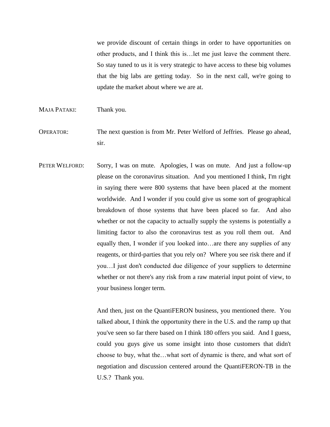we provide discount of certain things in order to have opportunities on other products, and I think this is…let me just leave the comment there. So stay tuned to us it is very strategic to have access to these big volumes that the big labs are getting today. So in the next call, we're going to update the market about where we are at.

- MAJA PATAKI: Thank you.
- OPERATOR: The next question is from Mr. Peter Welford of Jeffries. Please go ahead, sir.
- PETER WELFORD: Sorry, I was on mute. Apologies, I was on mute. And just a follow-up please on the coronavirus situation. And you mentioned I think, I'm right in saying there were 800 systems that have been placed at the moment worldwide. And I wonder if you could give us some sort of geographical breakdown of those systems that have been placed so far. And also whether or not the capacity to actually supply the systems is potentially a limiting factor to also the coronavirus test as you roll them out. And equally then, I wonder if you looked into…are there any supplies of any reagents, or third-parties that you rely on? Where you see risk there and if you…I just don't conducted due diligence of your suppliers to determine whether or not there's any risk from a raw material input point of view, to your business longer term.

And then, just on the QuantiFERON business, you mentioned there. You talked about, I think the opportunity there in the U.S. and the ramp up that you've seen so far there based on I think 180 offers you said. And I guess, could you guys give us some insight into those customers that didn't choose to buy, what the…what sort of dynamic is there, and what sort of negotiation and discussion centered around the QuantiFERON-TB in the U.S.? Thank you.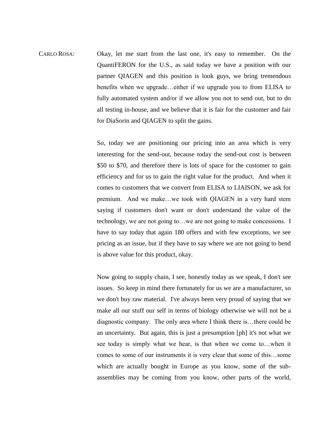CARLO ROSA: Okay, let me start from the last one, it's easy to remember. On the QuantiFERON for the U.S., as said today we have a position with our partner QIAGEN and this position is look guys, we bring tremendous benefits when we upgrade…either if we upgrade you to from ELISA to fully automated system and/or if we allow you not to send out, but to do all testing in-house, and we believe that it is fair for the customer and fair for DiaSorin and QIAGEN to split the gains.

> So, today we are positioning our pricing into an area which is very interesting for the send-out, because today the send-out cost is between \$50 to \$70, and therefore there is lots of space for the customer to gain efficiency and for us to gain the right value for the product. And when it comes to customers that we convert from ELISA to LIAISON, we ask for premium. And we make…we took with QIAGEN in a very hard stem saying if customers don't want or don't understand the value of the technology, we are not going to…we are not going to make concessions. I have to say today that again 180 offers and with few exceptions, we see pricing as an issue, but if they have to say where we are not going to bend is above value for this product, okay.

> Now going to supply chain, I see, honestly today as we speak, I don't see issues. So keep in mind there fortunately for us we are a manufacturer, so we don't buy raw material. I've always been very proud of saying that we make all our stuff our self in terms of biology otherwise we will not be a diagnostic company. The only area where I think there is…there could be an uncertainty. But again, this is just a presumption [ph] it's not what we see today is simply what we hear, is that when we come to…when it comes to some of our instruments it is very clear that some of this…some which are actually bought in Europe as you know, some of the subassemblies may be coming from you know, other parts of the world,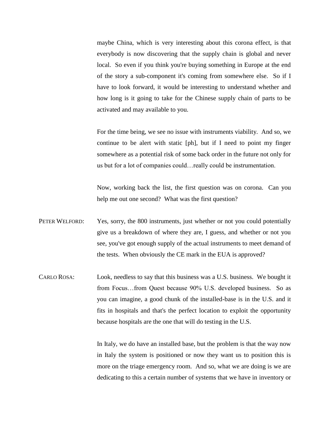maybe China, which is very interesting about this corona effect, is that everybody is now discovering that the supply chain is global and never local. So even if you think you're buying something in Europe at the end of the story a sub-component it's coming from somewhere else. So if I have to look forward, it would be interesting to understand whether and how long is it going to take for the Chinese supply chain of parts to be activated and may available to you.

For the time being, we see no issue with instruments viability. And so, we continue to be alert with static [ph], but if I need to point my finger somewhere as a potential risk of some back order in the future not only for us but for a lot of companies could…really could be instrumentation.

Now, working back the list, the first question was on corona. Can you help me out one second? What was the first question?

- PETER WELFORD: Yes, sorry, the 800 instruments, just whether or not you could potentially give us a breakdown of where they are, I guess, and whether or not you see, you've got enough supply of the actual instruments to meet demand of the tests. When obviously the CE mark in the EUA is approved?
- CARLO ROSA: Look, needless to say that this business was a U.S. business. We bought it from Focus…from Quest because 90% U.S. developed business. So as you can imagine, a good chunk of the installed-base is in the U.S. and it fits in hospitals and that's the perfect location to exploit the opportunity because hospitals are the one that will do testing in the U.S.

In Italy, we do have an installed base, but the problem is that the way now in Italy the system is positioned or now they want us to position this is more on the triage emergency room. And so, what we are doing is we are dedicating to this a certain number of systems that we have in inventory or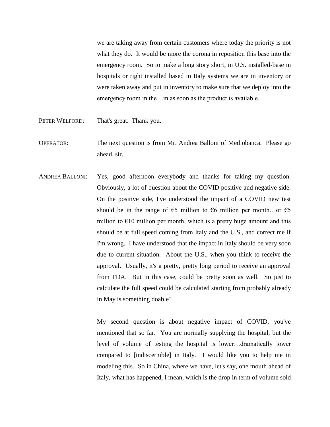we are taking away from certain customers where today the priority is not what they do. It would be more the corona in reposition this base into the emergency room. So to make a long story short, in U.S. installed-base in hospitals or right installed based in Italy systems we are in inventory or were taken away and put in inventory to make sure that we deploy into the emergency room in the... in as soon as the product is available.

- PETER WELFORD: That's great. Thank you.
- OPERATOR: The next question is from Mr. Andrea Balloni of Mediobanca. Please go ahead, sir.
- ANDREA BALLONI: Yes, good afternoon everybody and thanks for taking my question. Obviously, a lot of question about the COVID positive and negative side. On the positive side, I've understood the impact of a COVID new test should be in the range of  $\epsilon$ 5 million to  $\epsilon$ 6 million per month...or  $\epsilon$ 5 million to  $E10$  million per month, which is a pretty huge amount and this should be at full speed coming from Italy and the U.S., and correct me if I'm wrong. I have understood that the impact in Italy should be very soon due to current situation. About the U.S., when you think to receive the approval. Usually, it's a pretty, pretty long period to receive an approval from FDA. But in this case, could be pretty soon as well. So just to calculate the full speed could be calculated starting from probably already in May is something doable?

My second question is about negative impact of COVID, you've mentioned that so far. You are normally supplying the hospital, but the level of volume of testing the hospital is lower…dramatically lower compared to [indiscernible] in Italy. I would like you to help me in modeling this. So in China, where we have, let's say, one mouth ahead of Italy, what has happened, I mean, which is the drop in term of volume sold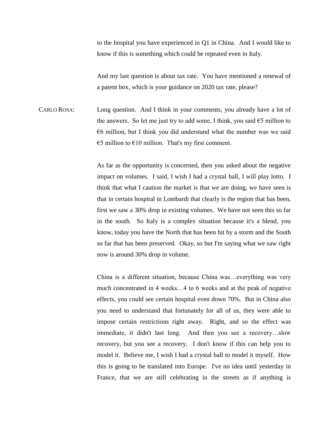to the hospital you have experienced in Q1 in China. And I would like to know if this is something which could be repeated even in Italy.

And my last question is about tax rate. You have mentioned a renewal of a patent box, which is your guidance on 2020 tax rate, please?

CARLO ROSA: Long question. And I think in your comments, you already have a lot of the answers. So let me just try to add some, I think, you said  $\epsilon$ 5 million to  $66$  million, but I think you did understand what the number was we said €5 million to  $€10$  million. That's my first comment.

> As far as the opportunity is concerned, then you asked about the negative impact on volumes. I said, I wish I had a crystal ball, I will play lotto. I think that what I caution the market is that we are doing, we have seen is that in certain hospital in Lombardi that clearly is the region that has been, first we saw a 30% drop in existing volumes. We have not seen this so far in the south. So Italy is a complex situation because it's a blend, you know, today you have the North that has been hit by a storm and the South so far that has been preserved. Okay, so but I'm saying what we saw right now is around 30% drop in volume.

> China is a different situation, because China was…everything was very much concentrated in 4 weeks…4 to 6 weeks and at the peak of negative effects, you could see certain hospital even down 70%. But in China also you need to understand that fortunately for all of us, they were able to impose certain restrictions right away. Right, and so the effect was immediate, it didn't last long. And then you see a recovery…slow recovery, but you see a recovery. I don't know if this can help you to model it. Believe me, I wish I had a crystal ball to model it myself. How this is going to be translated into Europe. I've no idea until yesterday in France, that we are still celebrating in the streets as if anything is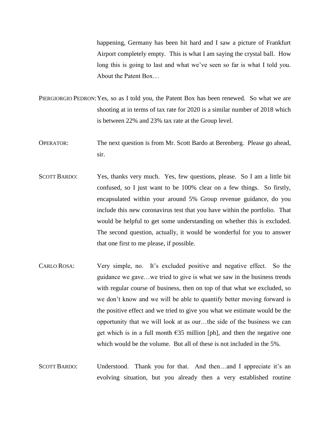happening, Germany has been hit hard and I saw a picture of Frankfurt Airport completely empty. This is what I am saying the crystal ball. How long this is going to last and what we've seen so far is what I told you. About the Patent Box…

PIERGIORGIO PEDRON: Yes, so as I told you, the Patent Box has been renewed. So what we are shooting at in terms of tax rate for 2020 is a similar number of 2018 which is between 22% and 23% tax rate at the Group level.

OPERATOR: The next question is from Mr. Scott Bardo at Berenberg. Please go ahead, sir.

- SCOTT BARDO: Yes, thanks very much. Yes, few questions, please. So I am a little bit confused, so I just want to be 100% clear on a few things. So firstly, encapsulated within your around 5% Group revenue guidance, do you include this new coronavirus test that you have within the portfolio. That would be helpful to get some understanding on whether this is excluded. The second question, actually, it would be wonderful for you to answer that one first to me please, if possible.
- CARLO ROSA: Very simple, no. It's excluded positive and negative effect. So the guidance we gave…we tried to give is what we saw in the business trends with regular course of business, then on top of that what we excluded, so we don't know and we will be able to quantify better moving forward is the positive effect and we tried to give you what we estimate would be the opportunity that we will look at as our…the side of the business we can get which is in a full month  $\epsilon$ 35 million [ph], and then the negative one which would be the volume. But all of these is not included in the 5%.
- SCOTT BARDO: Understood. Thank you for that. And then...and I appreciate it's an evolving situation, but you already then a very established routine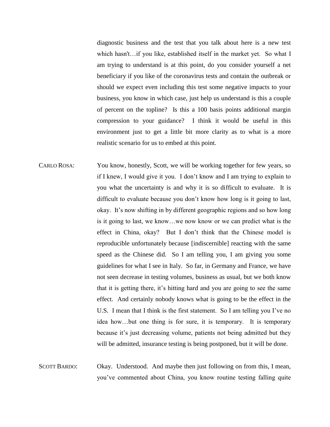diagnostic business and the test that you talk about here is a new test which hasn't...if you like, established itself in the market yet. So what I am trying to understand is at this point, do you consider yourself a net beneficiary if you like of the coronavirus tests and contain the outbreak or should we expect even including this test some negative impacts to your business, you know in which case, just help us understand is this a couple of percent on the topline? Is this a 100 basis points additional margin compression to your guidance? I think it would be useful in this environment just to get a little bit more clarity as to what is a more realistic scenario for us to embed at this point.

- CARLO ROSA: You know, honestly, Scott, we will be working together for few years, so if I knew, I would give it you. I don't know and I am trying to explain to you what the uncertainty is and why it is so difficult to evaluate. It is difficult to evaluate because you don't know how long is it going to last, okay. It's now shifting in by different geographic regions and so how long is it going to last, we know…we now know or we can predict what is the effect in China, okay? But I don't think that the Chinese model is reproducible unfortunately because [indiscernible] reacting with the same speed as the Chinese did. So I am telling you, I am giving you some guidelines for what I see in Italy. So far, in Germany and France, we have not seen decrease in testing volumes, business as usual, but we both know that it is getting there, it's hitting hard and you are going to see the same effect. And certainly nobody knows what is going to be the effect in the U.S. I mean that I think is the first statement. So I am telling you I've no idea how…but one thing is for sure, it is temporary. It is temporary because it's just decreasing volume, patients not being admitted but they will be admitted, insurance testing is being postponed, but it will be done.
- SCOTT BARDO: Okay. Understood. And maybe then just following on from this, I mean, you've commented about China, you know routine testing falling quite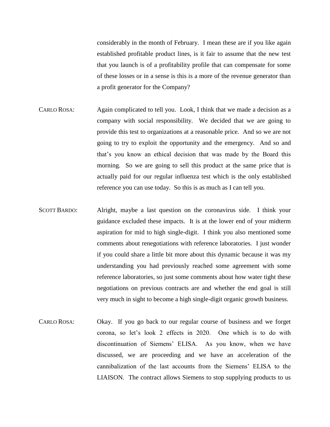considerably in the month of February. I mean these are if you like again established profitable product lines, is it fair to assume that the new test that you launch is of a profitability profile that can compensate for some of these losses or in a sense is this is a more of the revenue generator than a profit generator for the Company?

- CARLO ROSA: Again complicated to tell you. Look, I think that we made a decision as a company with social responsibility. We decided that we are going to provide this test to organizations at a reasonable price. And so we are not going to try to exploit the opportunity and the emergency. And so and that's you know an ethical decision that was made by the Board this morning. So we are going to sell this product at the same price that is actually paid for our regular influenza test which is the only established reference you can use today. So this is as much as I can tell you.
- SCOTT BARDO: Alright, maybe a last question on the coronavirus side. I think your guidance excluded these impacts. It is at the lower end of your midterm aspiration for mid to high single-digit. I think you also mentioned some comments about renegotiations with reference laboratories. I just wonder if you could share a little bit more about this dynamic because it was my understanding you had previously reached some agreement with some reference laboratories, so just some comments about how water tight these negotiations on previous contracts are and whether the end goal is still very much in sight to become a high single-digit organic growth business.
- CARLO ROSA: Okay. If you go back to our regular course of business and we forget corona, so let's look 2 effects in 2020. One which is to do with discontinuation of Siemens' ELISA. As you know, when we have discussed, we are proceeding and we have an acceleration of the cannibalization of the last accounts from the Siemens' ELISA to the LIAISON. The contract allows Siemens to stop supplying products to us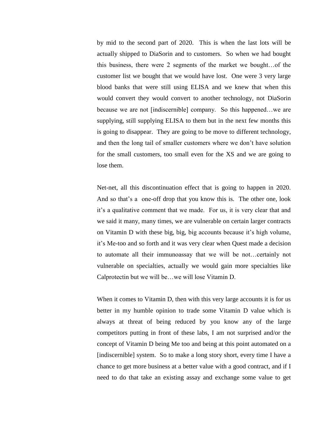by mid to the second part of 2020. This is when the last lots will be actually shipped to DiaSorin and to customers. So when we had bought this business, there were 2 segments of the market we bought…of the customer list we bought that we would have lost. One were 3 very large blood banks that were still using ELISA and we knew that when this would convert they would convert to another technology, not DiaSorin because we are not [indiscernible] company. So this happened…we are supplying, still supplying ELISA to them but in the next few months this is going to disappear. They are going to be move to different technology, and then the long tail of smaller customers where we don't have solution for the small customers, too small even for the XS and we are going to lose them.

Net-net, all this discontinuation effect that is going to happen in 2020. And so that's a one-off drop that you know this is. The other one, look it's a qualitative comment that we made. For us, it is very clear that and we said it many, many times, we are vulnerable on certain larger contracts on Vitamin D with these big, big, big accounts because it's high volume, it's Me-too and so forth and it was very clear when Quest made a decision to automate all their immunoassay that we will be not…certainly not vulnerable on specialties, actually we would gain more specialties like Calprotectin but we will be…we will lose Vitamin D.

When it comes to Vitamin D, then with this very large accounts it is for us better in my humble opinion to trade some Vitamin D value which is always at threat of being reduced by you know any of the large competitors putting in front of these labs, I am not surprised and/or the concept of Vitamin D being Me too and being at this point automated on a [indiscernible] system. So to make a long story short, every time I have a chance to get more business at a better value with a good contract, and if I need to do that take an existing assay and exchange some value to get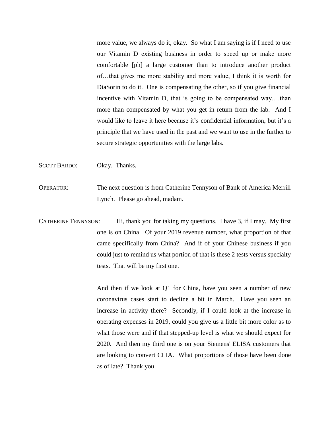more value, we always do it, okay. So what I am saying is if I need to use our Vitamin D existing business in order to speed up or make more comfortable [ph] a large customer than to introduce another product of…that gives me more stability and more value, I think it is worth for DiaSorin to do it. One is compensating the other, so if you give financial incentive with Vitamin D, that is going to be compensated way….than more than compensated by what you get in return from the lab. And I would like to leave it here because it's confidential information, but it's a principle that we have used in the past and we want to use in the further to secure strategic opportunities with the large labs.

SCOTT BARDO: Okay. Thanks.

OPERATOR: The next question is from Catherine Tennyson of Bank of America Merrill Lynch. Please go ahead, madam.

CATHERINE TENNYSON: Hi, thank you for taking my questions. I have 3, if I may. My first one is on China. Of your 2019 revenue number, what proportion of that came specifically from China? And if of your Chinese business if you could just to remind us what portion of that is these 2 tests versus specialty tests. That will be my first one.

> And then if we look at Q1 for China, have you seen a number of new coronavirus cases start to decline a bit in March. Have you seen an increase in activity there? Secondly, if I could look at the increase in operating expenses in 2019, could you give us a little bit more color as to what those were and if that stepped-up level is what we should expect for 2020. And then my third one is on your Siemens' ELISA customers that are looking to convert CLIA. What proportions of those have been done as of late? Thank you.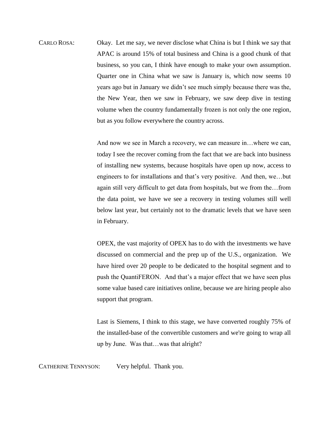CARLO ROSA: Okay. Let me say, we never disclose what China is but I think we say that APAC is around 15% of total business and China is a good chunk of that business, so you can, I think have enough to make your own assumption. Quarter one in China what we saw is January is, which now seems 10 years ago but in January we didn't see much simply because there was the, the New Year, then we saw in February, we saw deep dive in testing volume when the country fundamentally frozen is not only the one region, but as you follow everywhere the country across.

> And now we see in March a recovery, we can measure in…where we can, today I see the recover coming from the fact that we are back into business of installing new systems, because hospitals have open up now, access to engineers to for installations and that's very positive. And then, we…but again still very difficult to get data from hospitals, but we from the…from the data point, we have we see a recovery in testing volumes still well below last year, but certainly not to the dramatic levels that we have seen in February.

> OPEX, the vast majority of OPEX has to do with the investments we have discussed on commercial and the prep up of the U.S., organization. We have hired over 20 people to be dedicated to the hospital segment and to push the QuantiFERON. And that's a major effect that we have seen plus some value based care initiatives online, because we are hiring people also support that program.

> Last is Siemens, I think to this stage, we have converted roughly 75% of the installed-base of the convertible customers and we're going to wrap all up by June. Was that…was that alright?

CATHERINE TENNYSON: Very helpful. Thank you.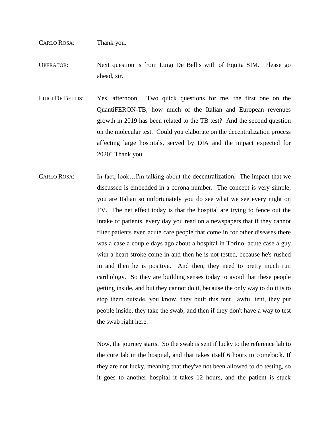## CARLO ROSA: Thank you.

OPERATOR: Next question is from Luigi De Bellis with of Equita SIM. Please go ahead, sir.

- LUIGI DE BELLIS: Yes, afternoon. Two quick questions for me, the first one on the QuantiFERON-TB, how much of the Italian and European revenues growth in 2019 has been related to the TB test? And the second question on the molecular test. Could you elaborate on the decentralization process affecting large hospitals, served by DIA and the impact expected for 2020? Thank you.
- CARLO ROSA: In fact, look...I'm talking about the decentralization. The impact that we discussed is embedded in a corona number. The concept is very simple; you are Italian so unfortunately you do see what we see every night on TV. The net effect today is that the hospital are trying to fence out the intake of patients, every day you read on a newspapers that if they cannot filter patients even acute care people that come in for other diseases there was a case a couple days ago about a hospital in Torino, acute case a guy with a heart stroke come in and then he is not tested, because he's rushed in and then he is positive. And then, they need to pretty much run cardiology. So they are building senses today to avoid that these people getting inside, and but they cannot do it, because the only way to do it is to stop them outside, you know, they built this tent…awful tent, they put people inside, they take the swab, and then if they don't have a way to test the swab right here.

Now, the journey starts. So the swab is sent if lucky to the reference lab to the core lab in the hospital, and that takes itself 6 hours to comeback. If they are not lucky, meaning that they've not been allowed to do testing, so it goes to another hospital it takes 12 hours, and the patient is stuck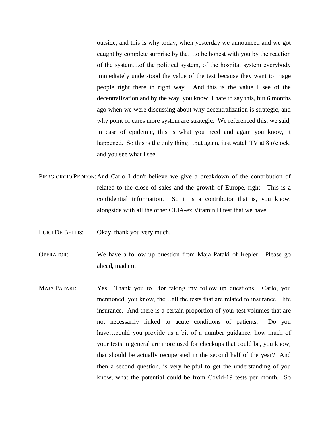outside, and this is why today, when yesterday we announced and we got caught by complete surprise by the…to be honest with you by the reaction of the system…of the political system, of the hospital system everybody immediately understood the value of the test because they want to triage people right there in right way. And this is the value I see of the decentralization and by the way, you know, I hate to say this, but 6 months ago when we were discussing about why decentralization is strategic, and why point of cares more system are strategic. We referenced this, we said, in case of epidemic, this is what you need and again you know, it happened. So this is the only thing...but again, just watch TV at 8 o'clock, and you see what I see.

- PIERGIORGIO PEDRON:And Carlo I don't believe we give a breakdown of the contribution of related to the close of sales and the growth of Europe, right. This is a confidential information. So it is a contributor that is, you know, alongside with all the other CLIA-ex Vitamin D test that we have.
- LUIGI DE BELLIS: Okay, thank you very much.

OPERATOR: We have a follow up question from Maja Pataki of Kepler. Please go ahead, madam.

MAJA PATAKI: Yes. Thank you to...for taking my follow up questions. Carlo, you mentioned, you know, the…all the tests that are related to insurance…life insurance. And there is a certain proportion of your test volumes that are not necessarily linked to acute conditions of patients. Do you have...could you provide us a bit of a number guidance, how much of your tests in general are more used for checkups that could be, you know, that should be actually recuperated in the second half of the year? And then a second question, is very helpful to get the understanding of you know, what the potential could be from Covid-19 tests per month. So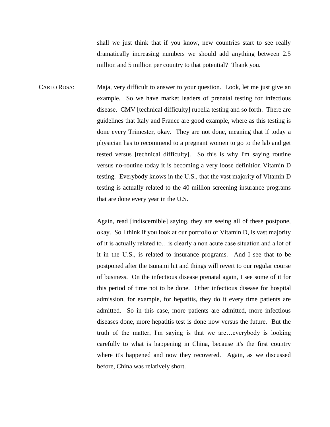shall we just think that if you know, new countries start to see really dramatically increasing numbers we should add anything between 2.5 million and 5 million per country to that potential? Thank you.

CARLO ROSA: Maja, very difficult to answer to your question. Look, let me just give an example. So we have market leaders of prenatal testing for infectious disease. CMV [technical difficulty] rubella testing and so forth. There are guidelines that Italy and France are good example, where as this testing is done every Trimester, okay. They are not done, meaning that if today a physician has to recommend to a pregnant women to go to the lab and get tested versus [technical difficulty]. So this is why I'm saying routine versus no-routine today it is becoming a very loose definition Vitamin D testing. Everybody knows in the U.S., that the vast majority of Vitamin D testing is actually related to the 40 million screening insurance programs that are done every year in the U.S.

> Again, read [indiscernible] saying, they are seeing all of these postpone, okay. So I think if you look at our portfolio of Vitamin D, is vast majority of it is actually related to…is clearly a non acute case situation and a lot of it in the U.S., is related to insurance programs. And I see that to be postponed after the tsunami hit and things will revert to our regular course of business. On the infectious disease prenatal again, I see some of it for this period of time not to be done. Other infectious disease for hospital admission, for example, for hepatitis, they do it every time patients are admitted. So in this case, more patients are admitted, more infectious diseases done, more hepatitis test is done now versus the future. But the truth of the matter, I'm saying is that we are…everybody is looking carefully to what is happening in China, because it's the first country where it's happened and now they recovered. Again, as we discussed before, China was relatively short.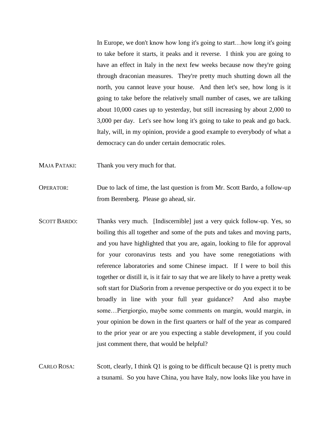In Europe, we don't know how long it's going to start…how long it's going to take before it starts, it peaks and it reverse. I think you are going to have an effect in Italy in the next few weeks because now they're going through draconian measures. They're pretty much shutting down all the north, you cannot leave your house. And then let's see, how long is it going to take before the relatively small number of cases, we are talking about 10,000 cases up to yesterday, but still increasing by about 2,000 to 3,000 per day. Let's see how long it's going to take to peak and go back. Italy, will, in my opinion, provide a good example to everybody of what a democracy can do under certain democratic roles.

- MAJA PATAKI: Thank you very much for that.
- OPERATOR: Due to lack of time, the last question is from Mr. Scott Bardo, a follow-up from Berenberg. Please go ahead, sir.
- SCOTT BARDO: Thanks very much. [Indiscernible] just a very quick follow-up. Yes, so boiling this all together and some of the puts and takes and moving parts, and you have highlighted that you are, again, looking to file for approval for your coronavirus tests and you have some renegotiations with reference laboratories and some Chinese impact. If I were to boil this together or distill it, is it fair to say that we are likely to have a pretty weak soft start for DiaSorin from a revenue perspective or do you expect it to be broadly in line with your full year guidance? And also maybe some…Piergiorgio, maybe some comments on margin, would margin, in your opinion be down in the first quarters or half of the year as compared to the prior year or are you expecting a stable development, if you could just comment there, that would be helpful?
- CARLO ROSA: Scott, clearly, I think Q1 is going to be difficult because Q1 is pretty much a tsunami. So you have China, you have Italy, now looks like you have in